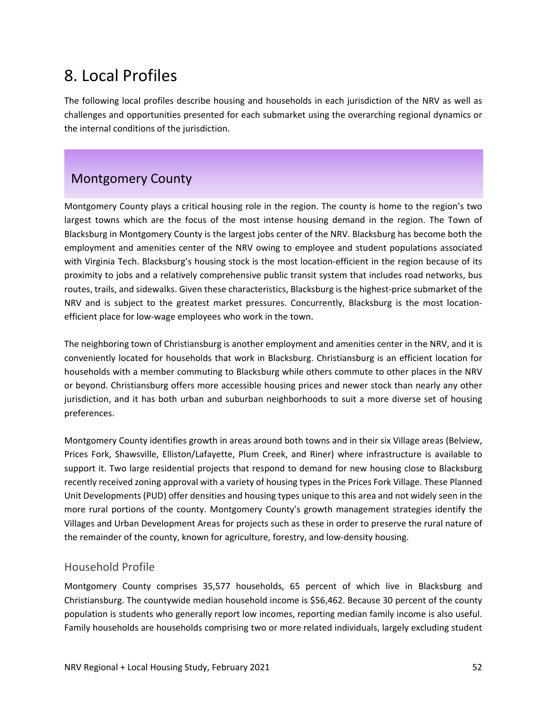# 8. Local Profiles

The following local profiles describe housing and households in each jurisdiction of the NRV as well as challenges and opportunities presented for each submarket using the overarching regional dynamics or the internal conditions of the jurisdiction.

# Montgomery County

Montgomery County plays a critical housing role in the region. The county is home to the region's two largest towns which are the focus of the most intense housing demand in the region. The Town of Blacksburg in Montgomery County is the largest jobs center of the NRV. Blacksburg has become both the employment and amenities center of the NRV owing to employee and student populations associated with Virginia Tech. Blacksburg's housing stock is the most location-efficient in the region because of its proximity to jobs and a relatively comprehensive public transit system that includes road networks, bus routes, trails, and sidewalks. Given these characteristics, Blacksburg is the highest‐price submarket of the NRV and is subject to the greatest market pressures. Concurrently, Blacksburg is the most location‐ efficient place for low‐wage employees who work in the town.

The neighboring town of Christiansburg is another employment and amenities center in the NRV, and it is conveniently located for households that work in Blacksburg. Christiansburg is an efficient location for households with a member commuting to Blacksburg while others commute to other places in the NRV or beyond. Christiansburg offers more accessible housing prices and newer stock than nearly any other jurisdiction, and it has both urban and suburban neighborhoods to suit a more diverse set of housing preferences.

Montgomery County identifies growth in areas around both towns and in their six Village areas (Belview, Prices Fork, Shawsville, Elliston/Lafayette, Plum Creek, and Riner) where infrastructure is available to support it. Two large residential projects that respond to demand for new housing close to Blacksburg recently received zoning approval with a variety of housing types in the Prices Fork Village. These Planned Unit Developments (PUD) offer densities and housing types unique to this area and not widely seen in the more rural portions of the county. Montgomery County's growth management strategies identify the Villages and Urban Development Areas for projects such as these in order to preserve the rural nature of the remainder of the county, known for agriculture, forestry, and low-density housing.

## Household Profile

Montgomery County comprises 35,577 households, 65 percent of which live in Blacksburg and Christiansburg. The countywide median household income is \$56,462. Because 30 percent of the county population is students who generally report low incomes, reporting median family income is also useful. Family households are households comprising two or more related individuals, largely excluding student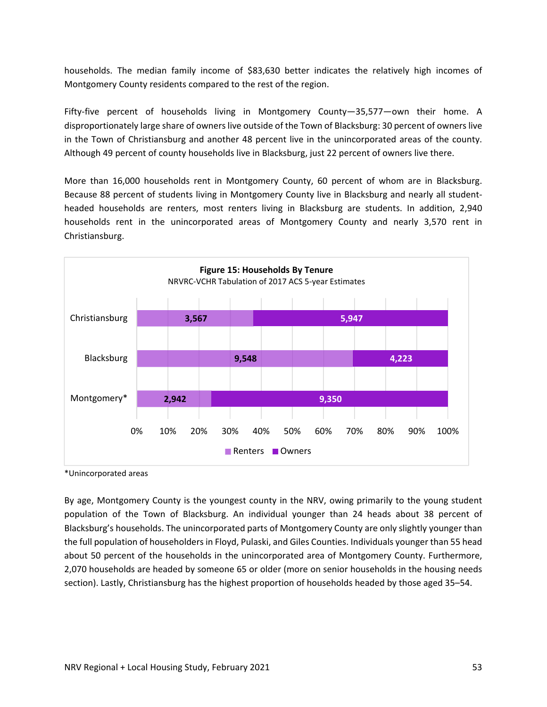households. The median family income of \$83,630 better indicates the relatively high incomes of Montgomery County residents compared to the rest of the region.

Fifty-five percent of households living in Montgomery County—35,577—own their home. A disproportionately large share of owners live outside of the Town of Blacksburg: 30 percent of owners live in the Town of Christiansburg and another 48 percent live in the unincorporated areas of the county. Although 49 percent of county households live in Blacksburg, just 22 percent of owners live there.

More than 16,000 households rent in Montgomery County, 60 percent of whom are in Blacksburg. Because 88 percent of students living in Montgomery County live in Blacksburg and nearly all student‐ headed households are renters, most renters living in Blacksburg are students. In addition, 2,940 households rent in the unincorporated areas of Montgomery County and nearly 3,570 rent in Christiansburg.



\*Unincorporated areas

By age, Montgomery County is the youngest county in the NRV, owing primarily to the young student population of the Town of Blacksburg. An individual younger than 24 heads about 38 percent of Blacksburg's households. The unincorporated parts of Montgomery County are only slightly younger than the full population of householders in Floyd, Pulaski, and Giles Counties. Individuals younger than 55 head about 50 percent of the households in the unincorporated area of Montgomery County. Furthermore, 2,070 households are headed by someone 65 or older (more on senior households in the housing needs section). Lastly, Christiansburg has the highest proportion of households headed by those aged 35–54.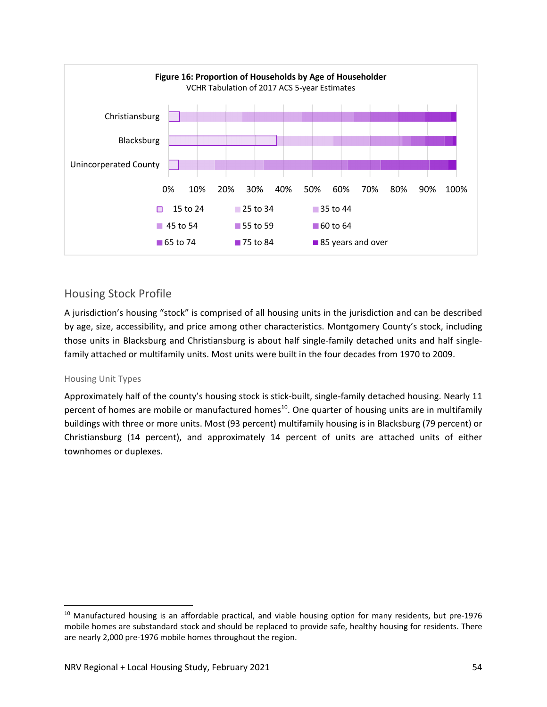

## Housing Stock Profile

A jurisdiction's housing "stock" is comprised of all housing units in the jurisdiction and can be described by age, size, accessibility, and price among other characteristics. Montgomery County's stock, including those units in Blacksburg and Christiansburg is about half single‐family detached units and half single‐ family attached or multifamily units. Most units were built in the four decades from 1970 to 2009.

#### Housing Unit Types

Approximately half of the county's housing stock is stick-built, single-family detached housing. Nearly 11 percent of homes are mobile or manufactured homes<sup>10</sup>. One quarter of housing units are in multifamily buildings with three or more units. Most (93 percent) multifamily housing is in Blacksburg (79 percent) or Christiansburg (14 percent), and approximately 14 percent of units are attached units of either townhomes or duplexes.

 $10$  Manufactured housing is an affordable practical, and viable housing option for many residents, but pre-1976 mobile homes are substandard stock and should be replaced to provide safe, healthy housing for residents. There are nearly 2,000 pre‐1976 mobile homes throughout the region.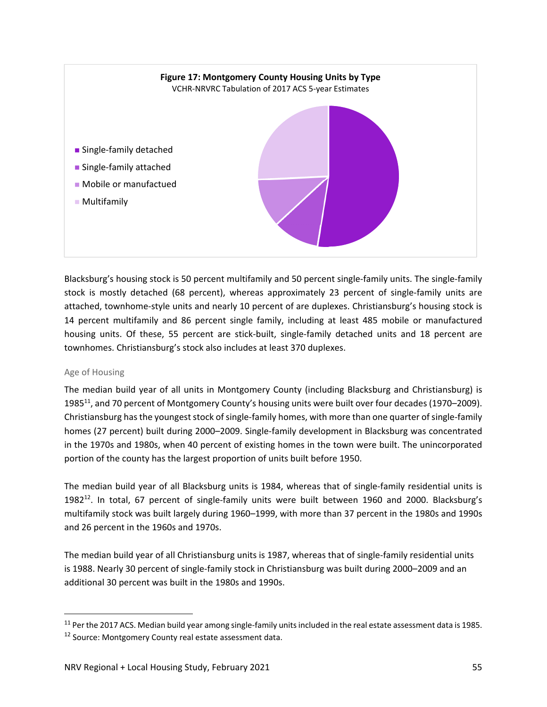

Blacksburg's housing stock is 50 percent multifamily and 50 percent single‐family units. The single‐family stock is mostly detached (68 percent), whereas approximately 23 percent of single‐family units are attached, townhome‐style units and nearly 10 percent of are duplexes. Christiansburg's housing stock is 14 percent multifamily and 86 percent single family, including at least 485 mobile or manufactured housing units. Of these, 55 percent are stick-built, single-family detached units and 18 percent are townhomes. Christiansburg's stock also includes at least 370 duplexes.

#### Age of Housing

The median build year of all units in Montgomery County (including Blacksburg and Christiansburg) is 1985<sup>11</sup>, and 70 percent of Montgomery County's housing units were built over four decades (1970–2009). Christiansburg has the youngest stock of single-family homes, with more than one quarter of single-family homes (27 percent) built during 2000–2009. Single‐family development in Blacksburg was concentrated in the 1970s and 1980s, when 40 percent of existing homes in the town were built. The unincorporated portion of the county has the largest proportion of units built before 1950.

The median build year of all Blacksburg units is 1984, whereas that of single-family residential units is 1982<sup>12</sup>. In total, 67 percent of single-family units were built between 1960 and 2000. Blacksburg's multifamily stock was built largely during 1960–1999, with more than 37 percent in the 1980s and 1990s and 26 percent in the 1960s and 1970s.

The median build year of all Christiansburg units is 1987, whereas that of single‐family residential units is 1988. Nearly 30 percent of single‐family stock in Christiansburg was built during 2000–2009 and an additional 30 percent was built in the 1980s and 1990s.

<sup>&</sup>lt;sup>11</sup> Per the 2017 ACS. Median build year among single-family units included in the real estate assessment data is 1985.

<sup>&</sup>lt;sup>12</sup> Source: Montgomery County real estate assessment data.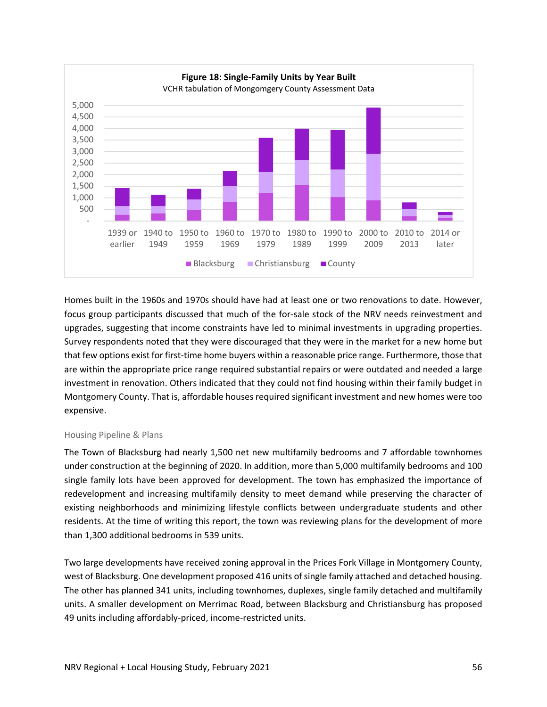

Homes built in the 1960s and 1970s should have had at least one or two renovations to date. However, focus group participants discussed that much of the for-sale stock of the NRV needs reinvestment and upgrades, suggesting that income constraints have led to minimal investments in upgrading properties. Survey respondents noted that they were discouraged that they were in the market for a new home but that few options exist for first‐time home buyers within a reasonable price range. Furthermore, those that are within the appropriate price range required substantial repairs or were outdated and needed a large investment in renovation. Others indicated that they could not find housing within their family budget in Montgomery County. That is, affordable houses required significant investment and new homes were too expensive.

#### Housing Pipeline & Plans

The Town of Blacksburg had nearly 1,500 net new multifamily bedrooms and 7 affordable townhomes under construction at the beginning of 2020. In addition, more than 5,000 multifamily bedrooms and 100 single family lots have been approved for development. The town has emphasized the importance of redevelopment and increasing multifamily density to meet demand while preserving the character of existing neighborhoods and minimizing lifestyle conflicts between undergraduate students and other residents. At the time of writing this report, the town was reviewing plans for the development of more than 1,300 additional bedrooms in 539 units.

Two large developments have received zoning approval in the Prices Fork Village in Montgomery County, west of Blacksburg. One development proposed 416 units of single family attached and detached housing. The other has planned 341 units, including townhomes, duplexes, single family detached and multifamily units. A smaller development on Merrimac Road, between Blacksburg and Christiansburg has proposed 49 units including affordably‐priced, income‐restricted units.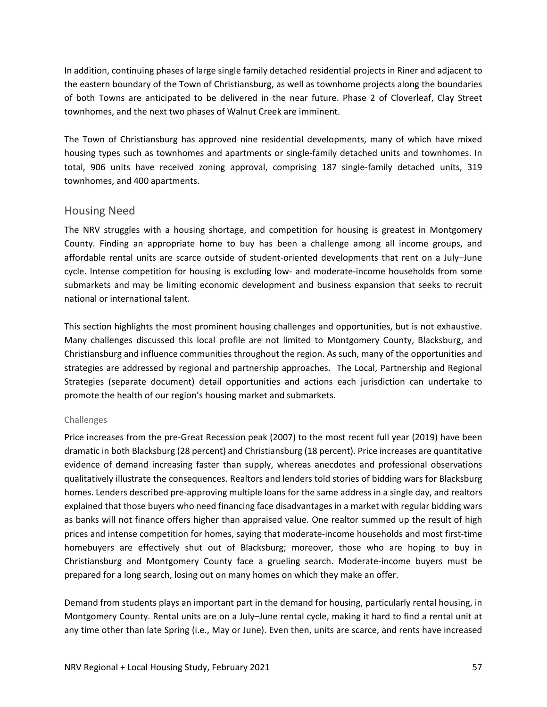In addition, continuing phases of large single family detached residential projects in Riner and adjacent to the eastern boundary of the Town of Christiansburg, as well as townhome projects along the boundaries of both Towns are anticipated to be delivered in the near future. Phase 2 of Cloverleaf, Clay Street townhomes, and the next two phases of Walnut Creek are imminent.

The Town of Christiansburg has approved nine residential developments, many of which have mixed housing types such as townhomes and apartments or single-family detached units and townhomes. In total, 906 units have received zoning approval, comprising 187 single-family detached units, 319 townhomes, and 400 apartments.

#### Housing Need

The NRV struggles with a housing shortage, and competition for housing is greatest in Montgomery County. Finding an appropriate home to buy has been a challenge among all income groups, and affordable rental units are scarce outside of student‐oriented developments that rent on a July–June cycle. Intense competition for housing is excluding low‐ and moderate‐income households from some submarkets and may be limiting economic development and business expansion that seeks to recruit national or international talent.

This section highlights the most prominent housing challenges and opportunities, but is not exhaustive. Many challenges discussed this local profile are not limited to Montgomery County, Blacksburg, and Christiansburg and influence communities throughout the region. As such, many of the opportunities and strategies are addressed by regional and partnership approaches. The Local, Partnership and Regional Strategies (separate document) detail opportunities and actions each jurisdiction can undertake to promote the health of our region's housing market and submarkets.

#### Challenges

Price increases from the pre‐Great Recession peak (2007) to the most recent full year (2019) have been dramatic in both Blacksburg (28 percent) and Christiansburg (18 percent). Price increases are quantitative evidence of demand increasing faster than supply, whereas anecdotes and professional observations qualitatively illustrate the consequences. Realtors and lenders told stories of bidding wars for Blacksburg homes. Lenders described pre‐approving multiple loans for the same address in a single day, and realtors explained that those buyers who need financing face disadvantages in a market with regular bidding wars as banks will not finance offers higher than appraised value. One realtor summed up the result of high prices and intense competition for homes, saying that moderate‐income households and most first‐time homebuyers are effectively shut out of Blacksburg; moreover, those who are hoping to buy in Christiansburg and Montgomery County face a grueling search. Moderate‐income buyers must be prepared for a long search, losing out on many homes on which they make an offer.

Demand from students plays an important part in the demand for housing, particularly rental housing, in Montgomery County. Rental units are on a July–June rental cycle, making it hard to find a rental unit at any time other than late Spring (i.e., May or June). Even then, units are scarce, and rents have increased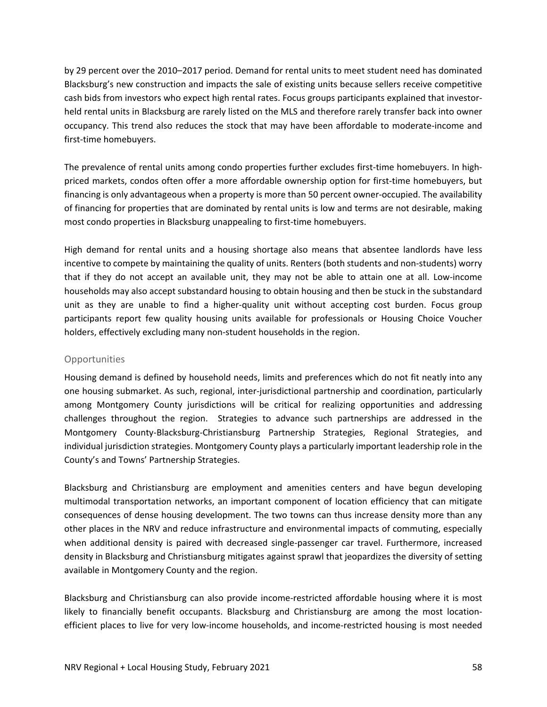by 29 percent over the 2010–2017 period. Demand for rental units to meet student need has dominated Blacksburg's new construction and impacts the sale of existing units because sellers receive competitive cash bids from investors who expect high rental rates. Focus groups participants explained that investor‐ held rental units in Blacksburg are rarely listed on the MLS and therefore rarely transfer back into owner occupancy. This trend also reduces the stock that may have been affordable to moderate‐income and first-time homebuyers.

The prevalence of rental units among condo properties further excludes first-time homebuyers. In highpriced markets, condos often offer a more affordable ownership option for first‐time homebuyers, but financing is only advantageous when a property is more than 50 percent owner‐occupied. The availability of financing for properties that are dominated by rental units is low and terms are not desirable, making most condo properties in Blacksburg unappealing to first-time homebuyers.

High demand for rental units and a housing shortage also means that absentee landlords have less incentive to compete by maintaining the quality of units. Renters (both students and non‐students) worry that if they do not accept an available unit, they may not be able to attain one at all. Low‐income households may also accept substandard housing to obtain housing and then be stuck in the substandard unit as they are unable to find a higher-quality unit without accepting cost burden. Focus group participants report few quality housing units available for professionals or Housing Choice Voucher holders, effectively excluding many non‐student households in the region.

#### **Opportunities**

Housing demand is defined by household needs, limits and preferences which do not fit neatly into any one housing submarket. As such, regional, inter‐jurisdictional partnership and coordination, particularly among Montgomery County jurisdictions will be critical for realizing opportunities and addressing challenges throughout the region. Strategies to advance such partnerships are addressed in the Montgomery County‐Blacksburg‐Christiansburg Partnership Strategies, Regional Strategies, and individual jurisdiction strategies. Montgomery County plays a particularly important leadership role in the County's and Towns' Partnership Strategies.

Blacksburg and Christiansburg are employment and amenities centers and have begun developing multimodal transportation networks, an important component of location efficiency that can mitigate consequences of dense housing development. The two towns can thus increase density more than any other places in the NRV and reduce infrastructure and environmental impacts of commuting, especially when additional density is paired with decreased single-passenger car travel. Furthermore, increased density in Blacksburg and Christiansburg mitigates against sprawl that jeopardizes the diversity of setting available in Montgomery County and the region.

Blacksburg and Christiansburg can also provide income‐restricted affordable housing where it is most likely to financially benefit occupants. Blacksburg and Christiansburg are among the most location‐ efficient places to live for very low‐income households, and income‐restricted housing is most needed